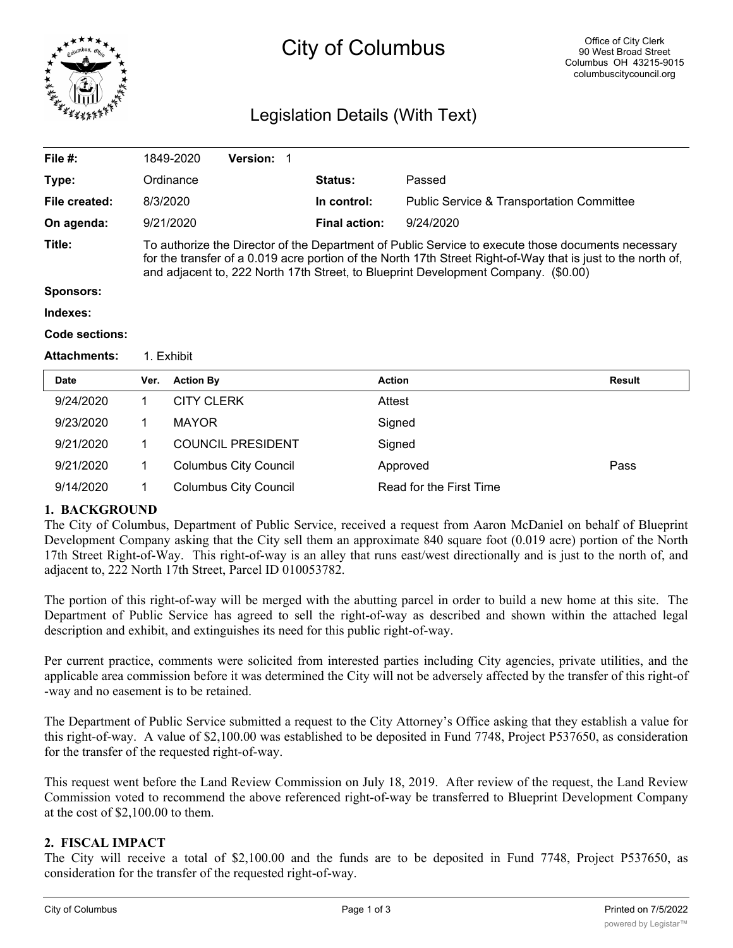

# City of Columbus

# Legislation Details (With Text)

| File $#$ :          |                                                                                                                                                                                                                                                                                                          | 1849-2020         | <b>Version:</b>              |  |                      |                                                      |               |
|---------------------|----------------------------------------------------------------------------------------------------------------------------------------------------------------------------------------------------------------------------------------------------------------------------------------------------------|-------------------|------------------------------|--|----------------------|------------------------------------------------------|---------------|
| Type:               |                                                                                                                                                                                                                                                                                                          | Ordinance         |                              |  | Status:              | Passed                                               |               |
| File created:       |                                                                                                                                                                                                                                                                                                          | 8/3/2020          |                              |  | In control:          | <b>Public Service &amp; Transportation Committee</b> |               |
| On agenda:          |                                                                                                                                                                                                                                                                                                          | 9/21/2020         |                              |  | <b>Final action:</b> | 9/24/2020                                            |               |
| Title:              | To authorize the Director of the Department of Public Service to execute those documents necessary<br>for the transfer of a 0.019 acre portion of the North 17th Street Right-of-Way that is just to the north of,<br>and adjacent to, 222 North 17th Street, to Blueprint Development Company. (\$0.00) |                   |                              |  |                      |                                                      |               |
| <b>Sponsors:</b>    |                                                                                                                                                                                                                                                                                                          |                   |                              |  |                      |                                                      |               |
| Indexes:            |                                                                                                                                                                                                                                                                                                          |                   |                              |  |                      |                                                      |               |
| Code sections:      |                                                                                                                                                                                                                                                                                                          |                   |                              |  |                      |                                                      |               |
| <b>Attachments:</b> | 1. Exhibit                                                                                                                                                                                                                                                                                               |                   |                              |  |                      |                                                      |               |
| Date                | Ver.                                                                                                                                                                                                                                                                                                     | <b>Action By</b>  |                              |  | <b>Action</b>        |                                                      | <b>Result</b> |
| 9/24/2020           | 1                                                                                                                                                                                                                                                                                                        | <b>CITY CLERK</b> |                              |  | Attest               |                                                      |               |
| 9/23/2020           | 1                                                                                                                                                                                                                                                                                                        | <b>MAYOR</b>      |                              |  | Signed               |                                                      |               |
| 9/21/2020           | 1                                                                                                                                                                                                                                                                                                        |                   | <b>COUNCIL PRESIDENT</b>     |  | Signed               |                                                      |               |
| 9/21/2020           | 1.                                                                                                                                                                                                                                                                                                       |                   | <b>Columbus City Council</b> |  |                      | Approved                                             | Pass          |

9/14/2020 1 Columbus City Council Read for the First Time

# **1. BACKGROUND**

The City of Columbus, Department of Public Service, received a request from Aaron McDaniel on behalf of Blueprint Development Company asking that the City sell them an approximate 840 square foot (0.019 acre) portion of the North 17th Street Right-of-Way. This right-of-way is an alley that runs east/west directionally and is just to the north of, and adjacent to, 222 North 17th Street, Parcel ID 010053782.

The portion of this right-of-way will be merged with the abutting parcel in order to build a new home at this site. The Department of Public Service has agreed to sell the right-of-way as described and shown within the attached legal description and exhibit, and extinguishes its need for this public right-of-way.

Per current practice, comments were solicited from interested parties including City agencies, private utilities, and the applicable area commission before it was determined the City will not be adversely affected by the transfer of this right-of -way and no easement is to be retained.

The Department of Public Service submitted a request to the City Attorney's Office asking that they establish a value for this right-of-way. A value of \$2,100.00 was established to be deposited in Fund 7748, Project P537650, as consideration for the transfer of the requested right-of-way.

This request went before the Land Review Commission on July 18, 2019. After review of the request, the Land Review Commission voted to recommend the above referenced right-of-way be transferred to Blueprint Development Company at the cost of \$2,100.00 to them.

# **2. FISCAL IMPACT**

The City will receive a total of \$2,100.00 and the funds are to be deposited in Fund 7748, Project P537650, as consideration for the transfer of the requested right-of-way.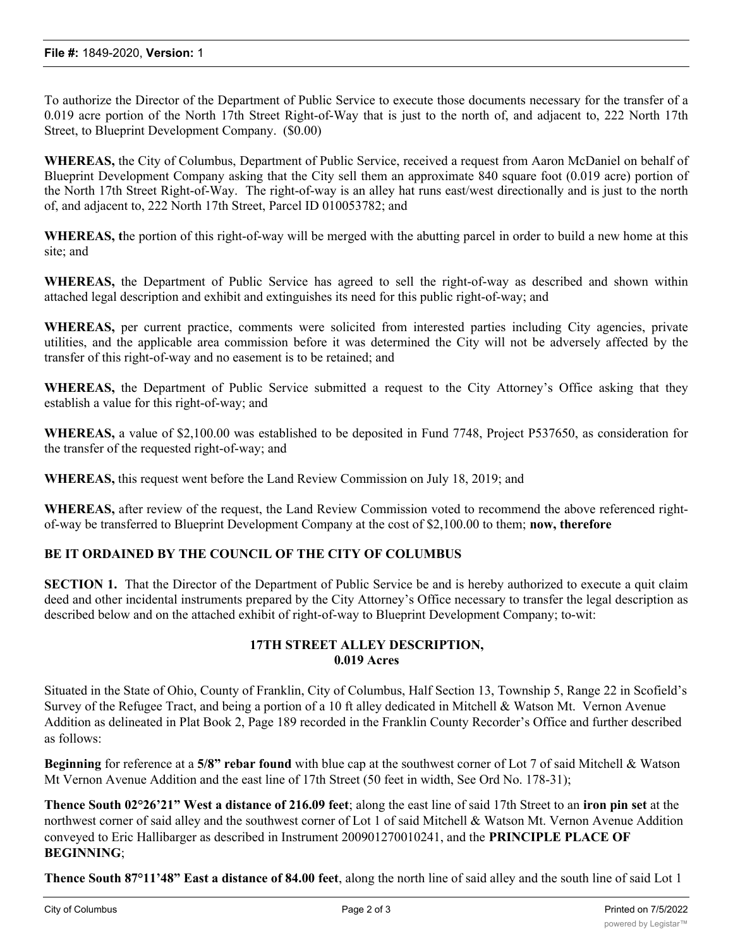To authorize the Director of the Department of Public Service to execute those documents necessary for the transfer of a 0.019 acre portion of the North 17th Street Right-of-Way that is just to the north of, and adjacent to, 222 North 17th Street, to Blueprint Development Company. (\$0.00)

**WHEREAS,** the City of Columbus, Department of Public Service, received a request from Aaron McDaniel on behalf of Blueprint Development Company asking that the City sell them an approximate 840 square foot (0.019 acre) portion of the North 17th Street Right-of-Way. The right-of-way is an alley hat runs east/west directionally and is just to the north of, and adjacent to, 222 North 17th Street, Parcel ID 010053782; and

**WHEREAS, t**he portion of this right-of-way will be merged with the abutting parcel in order to build a new home at this site; and

**WHEREAS,** the Department of Public Service has agreed to sell the right-of-way as described and shown within attached legal description and exhibit and extinguishes its need for this public right-of-way; and

**WHEREAS,** per current practice, comments were solicited from interested parties including City agencies, private utilities, and the applicable area commission before it was determined the City will not be adversely affected by the transfer of this right-of-way and no easement is to be retained; and

**WHEREAS,** the Department of Public Service submitted a request to the City Attorney's Office asking that they establish a value for this right-of-way; and

**WHEREAS,** a value of \$2,100.00 was established to be deposited in Fund 7748, Project P537650, as consideration for the transfer of the requested right-of-way; and

**WHEREAS,** this request went before the Land Review Commission on July 18, 2019; and

**WHEREAS,** after review of the request, the Land Review Commission voted to recommend the above referenced rightof-way be transferred to Blueprint Development Company at the cost of \$2,100.00 to them; **now, therefore**

### **BE IT ORDAINED BY THE COUNCIL OF THE CITY OF COLUMBUS**

**SECTION 1.** That the Director of the Department of Public Service be and is hereby authorized to execute a quit claim deed and other incidental instruments prepared by the City Attorney's Office necessary to transfer the legal description as described below and on the attached exhibit of right-of-way to Blueprint Development Company; to-wit:

### **17TH STREET ALLEY DESCRIPTION, 0.019 Acres**

Situated in the State of Ohio, County of Franklin, City of Columbus, Half Section 13, Township 5, Range 22 in Scofield's Survey of the Refugee Tract, and being a portion of a 10 ft alley dedicated in Mitchell & Watson Mt. Vernon Avenue Addition as delineated in Plat Book 2, Page 189 recorded in the Franklin County Recorder's Office and further described as follows:

**Beginning** for reference at a **5/8" rebar found** with blue cap at the southwest corner of Lot 7 of said Mitchell & Watson Mt Vernon Avenue Addition and the east line of 17th Street (50 feet in width, See Ord No. 178-31);

**Thence South 02°26'21" West a distance of 216.09 feet**; along the east line of said 17th Street to an **iron pin set** at the northwest corner of said alley and the southwest corner of Lot 1 of said Mitchell & Watson Mt. Vernon Avenue Addition conveyed to Eric Hallibarger as described in Instrument 200901270010241, and the **PRINCIPLE PLACE OF BEGINNING**;

**Thence South 87°11'48" East a distance of 84.00 feet**, along the north line of said alley and the south line of said Lot 1